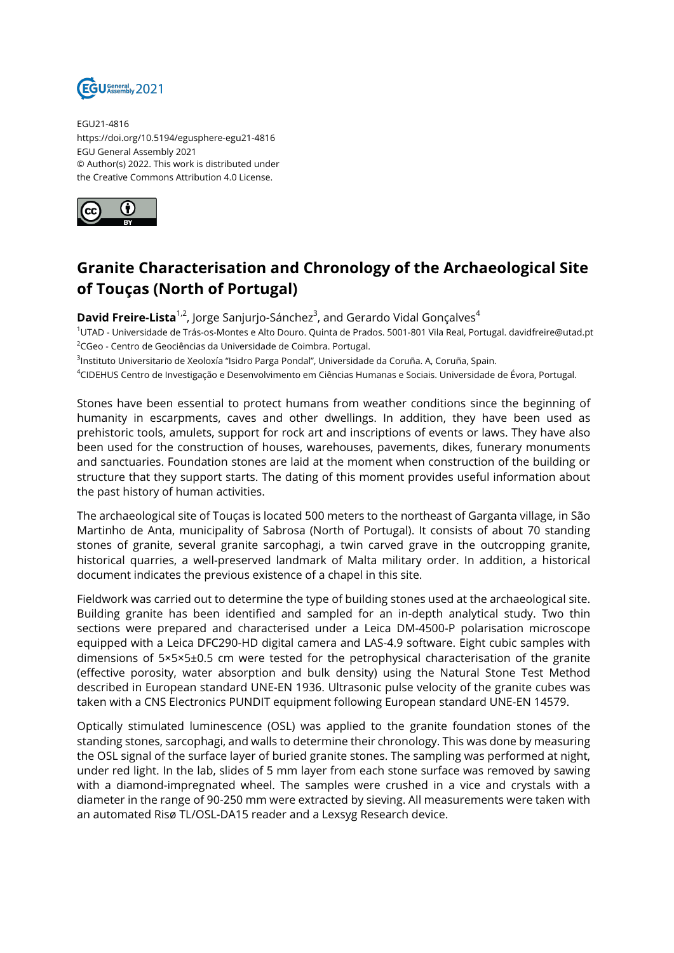

EGU21-4816 https://doi.org/10.5194/egusphere-egu21-4816 EGU General Assembly 2021 © Author(s) 2022. This work is distributed under the Creative Commons Attribution 4.0 License.



## **Granite Characterisation and Chronology of the Archaeological Site of Touças (North of Portugal)**

**David Freire-Lista**<sup>1,2</sup>, Jorge Sanjurjo-Sánchez<sup>3</sup>, and Gerardo Vidal Gonçalves<sup>4</sup>

<sup>1</sup>UTAD - Universidade de Trás-os-Montes e Alto Douro. Quinta de Prados. 5001-801 Vila Real, Portugal. davidfreire@utad.pt <sup>2</sup>CGeo - Centro de Geociências da Universidade de Coimbra. Portugal.

<sup>3</sup>Instituto Universitario de Xeoloxía "Isidro Parga Pondal", Universidade da Coruña. A, Coruña, Spain.

<sup>4</sup>CIDEHUS Centro de Investigação e Desenvolvimento em Ciências Humanas e Sociais. Universidade de Évora, Portugal.

Stones have been essential to protect humans from weather conditions since the beginning of humanity in escarpments, caves and other dwellings. In addition, they have been used as prehistoric tools, amulets, support for rock art and inscriptions of events or laws. They have also been used for the construction of houses, warehouses, pavements, dikes, funerary monuments and sanctuaries. Foundation stones are laid at the moment when construction of the building or structure that they support starts. The dating of this moment provides useful information about the past history of human activities.

The archaeological site of Touças is located 500 meters to the northeast of Garganta village, in São Martinho de Anta, municipality of Sabrosa (North of Portugal). It consists of about 70 standing stones of granite, several granite sarcophagi, a twin carved grave in the outcropping granite, historical quarries, a well-preserved landmark of Malta military order. In addition, a historical document indicates the previous existence of a chapel in this site.

Fieldwork was carried out to determine the type of building stones used at the archaeological site. Building granite has been identified and sampled for an in-depth analytical study. Two thin sections were prepared and characterised under a Leica DM-4500-P polarisation microscope equipped with a Leica DFC290-HD digital camera and LAS-4.9 software. Eight cubic samples with dimensions of 5×5×5±0.5 cm were tested for the petrophysical characterisation of the granite (effective porosity, water absorption and bulk density) using the Natural Stone Test Method described in European standard UNE-EN 1936. Ultrasonic pulse velocity of the granite cubes was taken with a CNS Electronics PUNDIT equipment following European standard UNE-EN 14579.

Optically stimulated luminescence (OSL) was applied to the granite foundation stones of the standing stones, sarcophagi, and walls to determine their chronology. This was done by measuring the OSL signal of the surface layer of buried granite stones. The sampling was performed at night, under red light. In the lab, slides of 5 mm layer from each stone surface was removed by sawing with a diamond-impregnated wheel. The samples were crushed in a vice and crystals with a diameter in the range of 90-250 mm were extracted by sieving. All measurements were taken with an automated Risø TL/OSL-DA15 reader and a Lexsyg Research device.